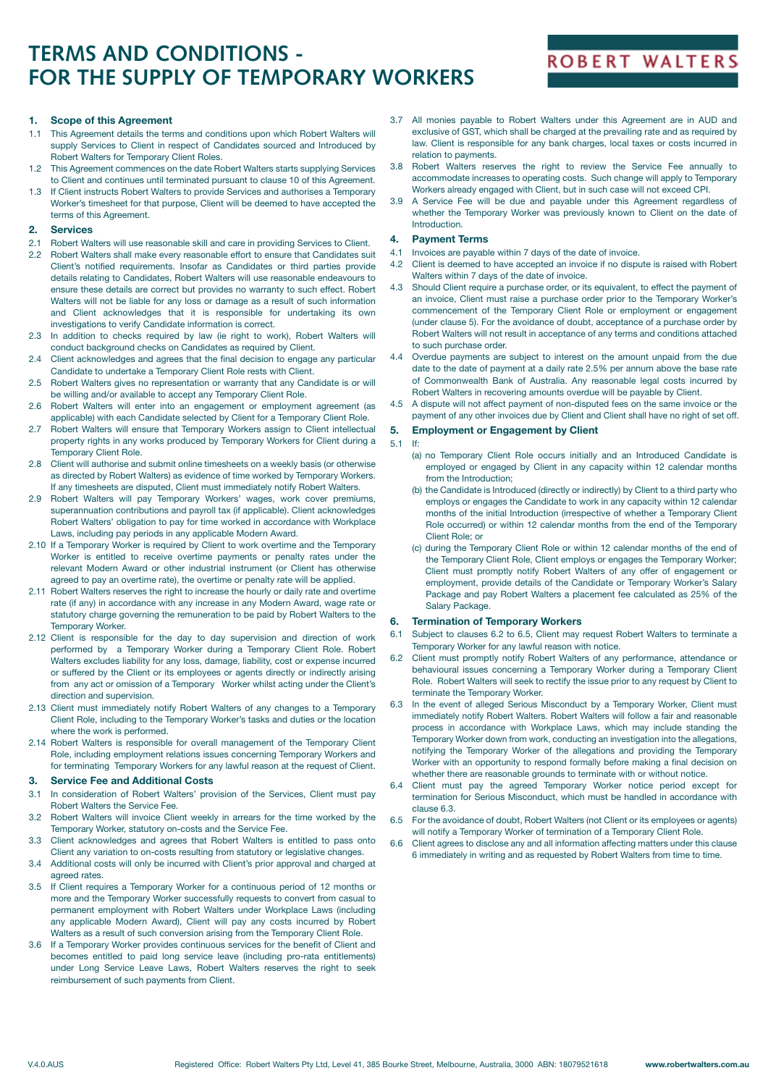# **TERMS AND CONDITIONS - FOR THE SUPPLY OF TEMPORARY WORKERS**

# **ROBERT WALTERS**

### **1. Scope of this Agreement**

- 1.1 This Agreement details the terms and conditions upon which Robert Walters will supply Services to Client in respect of Candidates sourced and Introduced by Robert Walters for Temporary Client Roles.
- 1.2 This Agreement commences on the date Robert Walters starts supplying Services to Client and continues until terminated pursuant to clause 10 of this Agreement.
- 1.3 If Client instructs Robert Walters to provide Services and authorises a Temporary Worker's timesheet for that purpose, Client will be deemed to have accepted the terms of this Agreement.

### **2. Services**

- 2.1 Robert Walters will use reasonable skill and care in providing Services to Client.
- 2.2 Robert Walters shall make every reasonable effort to ensure that Candidates suit Client's notified requirements. Insofar as Candidates or third parties provide details relating to Candidates, Robert Walters will use reasonable endeavours to ensure these details are correct but provides no warranty to such effect. Robert Walters will not be liable for any loss or damage as a result of such information and Client acknowledges that it is responsible for undertaking its own investigations to verify Candidate information is correct.
- 2.3 In addition to checks required by law (ie right to work), Robert Walters will conduct background checks on Candidates as required by Client.
- 2.4 Client acknowledges and agrees that the final decision to engage any particular Candidate to undertake a Temporary Client Role rests with Client.
- 2.5 Robert Walters gives no representation or warranty that any Candidate is or will be willing and/or available to accept any Temporary Client Role.
- 2.6 Robert Walters will enter into an engagement or employment agreement (as applicable) with each Candidate selected by Client for a Temporary Client Role.
- 2.7 Robert Walters will ensure that Temporary Workers assign to Client intellectual property rights in any works produced by Temporary Workers for Client during a Temporary Client Role.
- 2.8 Client will authorise and submit online timesheets on a weekly basis (or otherwise as directed by Robert Walters) as evidence of time worked by Temporary Workers. If any timesheets are disputed, Client must immediately notify Robert Walters.
- 2.9 Robert Walters will pay Temporary Workers' wages, work cover premiums, superannuation contributions and payroll tax (if applicable). Client acknowledges Robert Walters' obligation to pay for time worked in accordance with Workplace Laws, including pay periods in any applicable Modern Award.
- 2.10 If a Temporary Worker is required by Client to work overtime and the Temporary Worker is entitled to receive overtime payments or penalty rates under the relevant Modern Award or other industrial instrument (or Client has otherwise agreed to pay an overtime rate), the overtime or penalty rate will be applied.
- 2.11 Robert Walters reserves the right to increase the hourly or daily rate and overtime rate (if any) in accordance with any increase in any Modern Award, wage rate or statutory charge governing the remuneration to be paid by Robert Walters to the Temporary Worker.
- 2.12 Client is responsible for the day to day supervision and direction of work performed by a Temporary Worker during a Temporary Client Role. Robert Walters excludes liability for any loss, damage, liability, cost or expense incurred or suffered by the Client or its employees or agents directly or indirectly arising from any act or omission of a Temporary Worker whilst acting under the Client's direction and supervision.
- 2.13 Client must immediately notify Robert Walters of any changes to a Temporary Client Role, including to the Temporary Worker's tasks and duties or the location where the work is performed.
- 2.14 Robert Walters is responsible for overall management of the Temporary Client Role, including employment relations issues concerning Temporary Workers and for terminating Temporary Workers for any lawful reason at the request of Client.

### **3. Service Fee and Additional Costs**

- 3.1 In consideration of Robert Walters' provision of the Services, Client must pay Robert Walters the Service Fee.
- 3.2 Robert Walters will invoice Client weekly in arrears for the time worked by the Temporary Worker, statutory on-costs and the Service Fee.
- 3.3 Client acknowledges and agrees that Robert Walters is entitled to pass onto Client any variation to on-costs resulting from statutory or legislative changes.
- 3.4 Additional costs will only be incurred with Client's prior approval and charged at agreed rates.
- 3.5 If Client requires a Temporary Worker for a continuous period of 12 months or more and the Temporary Worker successfully requests to convert from casual to permanent employment with Robert Walters under Workplace Laws (including any applicable Modern Award), Client will pay any costs incurred by Robert Walters as a result of such conversion arising from the Temporary Client Role.
- 3.6 If a Temporary Worker provides continuous services for the benefit of Client and becomes entitled to paid long service leave (including pro-rata entitlements) under Long Service Leave Laws, Robert Walters reserves the right to seek reimbursement of such payments from Client.
- 3.7 All monies payable to Robert Walters under this Agreement are in AUD and exclusive of GST, which shall be charged at the prevailing rate and as required by law. Client is responsible for any bank charges, local taxes or costs incurred in relation to payments.
- 3.8 Robert Walters reserves the right to review the Service Fee annually to accommodate increases to operating costs. Such change will apply to Temporary Workers already engaged with Client, but in such case will not exceed CPI.
- 3.9 A Service Fee will be due and payable under this Agreement regardless of whether the Temporary Worker was previously known to Client on the date of **Introduction**

### **4. Payment Terms**

- 4.1 Invoices are payable within 7 days of the date of invoice.
- 4.2 Client is deemed to have accepted an invoice if no dispute is raised with Robert Walters within 7 days of the date of invoice.
- 4.3 Should Client require a purchase order, or its equivalent, to effect the payment of an invoice, Client must raise a purchase order prior to the Temporary Worker's commencement of the Temporary Client Role or employment or engagement (under clause 5). For the avoidance of doubt, acceptance of a purchase order by Robert Walters will not result in acceptance of any terms and conditions attached to such purchase order.
- 4.4 Overdue payments are subject to interest on the amount unpaid from the due date to the date of payment at a daily rate 2.5% per annum above the base rate of Commonwealth Bank of Australia. Any reasonable legal costs incurred by Robert Walters in recovering amounts overdue will be payable by Client.
- 4.5 A dispute will not affect payment of non-disputed fees on the same invoice or the payment of any other invoices due by Client and Client shall have no right of set off.

### **5. Employment or Engagement by Client**

### 5.1 If:

- (a) no Temporary Client Role occurs initially and an Introduced Candidate is employed or engaged by Client in any capacity within 12 calendar months from the Introduction;
- (b) the Candidate is Introduced (directly or indirectly) by Client to a third party who employs or engages the Candidate to work in any capacity within 12 calendar months of the initial Introduction (irrespective of whether a Temporary Client Role occurred) or within 12 calendar months from the end of the Temporary Client Role; or
- (c) during the Temporary Client Role or within 12 calendar months of the end of the Temporary Client Role, Client employs or engages the Temporary Worker; Client must promptly notify Robert Walters of any offer of engagement or employment, provide details of the Candidate or Temporary Worker's Salary Package and pay Robert Walters a placement fee calculated as 25% of the Salary Package.

### **6. Termination of Temporary Workers**

- 6.1 Subject to clauses 6.2 to 6.5, Client may request Robert Walters to terminate a Temporary Worker for any lawful reason with notice.
- Client must promptly notify Robert Walters of any performance, attendance or behavioural issues concerning a Temporary Worker during a Temporary Client Role. Robert Walters will seek to rectify the issue prior to any request by Client to terminate the Temporary Worker.
- 6.3 In the event of alleged Serious Misconduct by a Temporary Worker, Client must immediately notify Robert Walters. Robert Walters will follow a fair and reasonable process in accordance with Workplace Laws, which may include standing the Temporary Worker down from work, conducting an investigation into the allegations, notifying the Temporary Worker of the allegations and providing the Temporary Worker with an opportunity to respond formally before making a final decision on whether there are reasonable grounds to terminate with or without notice.
- 6.4 Client must pay the agreed Temporary Worker notice period except for termination for Serious Misconduct, which must be handled in accordance with clause 6.3.
- 6.5 For the avoidance of doubt, Robert Walters (not Client or its employees or agents) will notify a Temporary Worker of termination of a Temporary Client Role.
- 6.6 Client agrees to disclose any and all information affecting matters under this clause 6 immediately in writing and as requested by Robert Walters from time to time.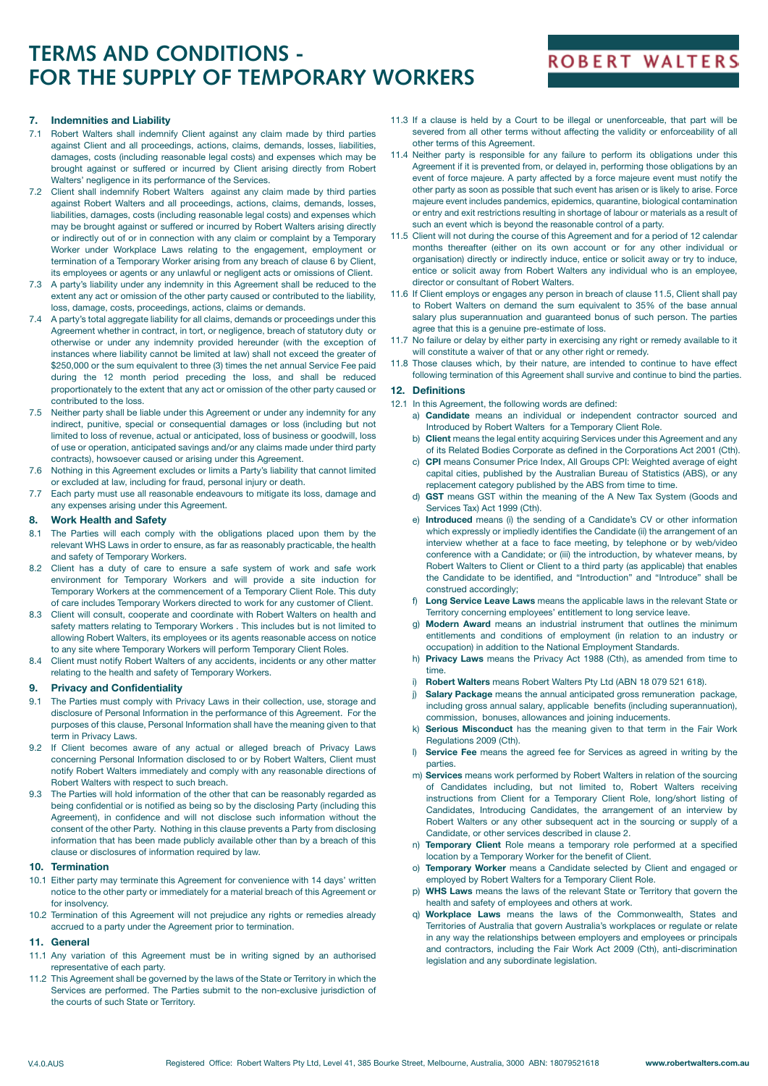# **TERMS AND CONDITIONS - FOR THE SUPPLY OF TEMPORARY WORKERS**

## **ROBERT WALTERS**

### **7. Indemnities and Liability**

- 7.1 Robert Walters shall indemnify Client against any claim made by third parties against Client and all proceedings, actions, claims, demands, losses, liabilities, damages, costs (including reasonable legal costs) and expenses which may be brought against or suffered or incurred by Client arising directly from Robert Walters' negligence in its performance of the Services.
- 7.2 Client shall indemnify Robert Walters against any claim made by third parties against Robert Walters and all proceedings, actions, claims, demands, losses, liabilities, damages, costs (including reasonable legal costs) and expenses which may be brought against or suffered or incurred by Robert Walters arising directly or indirectly out of or in connection with any claim or complaint by a Temporary Worker under Workplace Laws relating to the engagement, employment or termination of a Temporary Worker arising from any breach of clause 6 by Client, its employees or agents or any unlawful or negligent acts or omissions of Client.
- 7.3 A party's liability under any indemnity in this Agreement shall be reduced to the extent any act or omission of the other party caused or contributed to the liability, loss, damage, costs, proceedings, actions, claims or demands.
- 7.4 A party's total aggregate liability for all claims, demands or proceedings under this Agreement whether in contract, in tort, or negligence, breach of statutory duty or otherwise or under any indemnity provided hereunder (with the exception of instances where liability cannot be limited at law) shall not exceed the greater of \$250,000 or the sum equivalent to three (3) times the net annual Service Fee paid during the 12 month period preceding the loss, and shall be reduced proportionately to the extent that any act or omission of the other party caused or contributed to the loss.
- Neither party shall be liable under this Agreement or under any indemnity for any indirect, punitive, special or consequential damages or loss (including but not limited to loss of revenue, actual or anticipated, loss of business or goodwill, loss of use or operation, anticipated savings and/or any claims made under third party contracts), howsoever caused or arising under this Agreement.
- Nothing in this Agreement excludes or limits a Party's liability that cannot limited or excluded at law, including for fraud, personal injury or death.
- 7.7 Each party must use all reasonable endeavours to mitigate its loss, damage and any expenses arising under this Agreement.

### **8. Work Health and Safety**

- 8.1 The Parties will each comply with the obligations placed upon them by the relevant WHS Laws in order to ensure, as far as reasonably practicable, the health and safety of Temporary Workers.
- 8.2 Client has a duty of care to ensure a safe system of work and safe work environment for Temporary Workers and will provide a site induction for Temporary Workers at the commencement of a Temporary Client Role. This duty of care includes Temporary Workers directed to work for any customer of Client.
- 8.3 Client will consult, cooperate and coordinate with Robert Walters on health and safety matters relating to Temporary Workers . This includes but is not limited to allowing Robert Walters, its employees or its agents reasonable access on notice to any site where Temporary Workers will perform Temporary Client Roles.
- 8.4 Client must notify Robert Walters of any accidents, incidents or any other matter relating to the health and safety of Temporary Workers.

#### **9. Privacy and Confidentiality**

- 9.1 The Parties must comply with Privacy Laws in their collection, use, storage and disclosure of Personal Information in the performance of this Agreement. For the purposes of this clause, Personal Information shall have the meaning given to that term in Privacy Laws.
- 9.2 If Client becomes aware of any actual or alleged breach of Privacy Laws concerning Personal Information disclosed to or by Robert Walters, Client must notify Robert Walters immediately and comply with any reasonable directions of Robert Walters with respect to such breach.
- 9.3 The Parties will hold information of the other that can be reasonably regarded as being confidential or is notified as being so by the disclosing Party (including this Agreement), in confidence and will not disclose such information without the consent of the other Party. Nothing in this clause prevents a Party from disclosing information that has been made publicly available other than by a breach of this clause or disclosures of information required by law.

### **10. Termination**

- 10.1 Either party may terminate this Agreement for convenience with 14 days' written notice to the other party or immediately for a material breach of this Agreement or for insolvency.
- 10.2 Termination of this Agreement will not prejudice any rights or remedies already accrued to a party under the Agreement prior to termination.

### **11. General**

- 11.1 Any variation of this Agreement must be in writing signed by an authorised representative of each party.
- 11.2 This Agreement shall be governed by the laws of the State or Territory in which the Services are performed. The Parties submit to the non-exclusive jurisdiction of the courts of such State or Territory.
- 11.3 If a clause is held by a Court to be illegal or unenforceable, that part will be severed from all other terms without affecting the validity or enforceability of all other terms of this Agreement.
- 11.4 Neither party is responsible for any failure to perform its obligations under this Agreement if it is prevented from, or delayed in, performing those obligations by an event of force majeure. A party affected by a force majeure event must notify the other party as soon as possible that such event has arisen or is likely to arise. Force majeure event includes pandemics, epidemics, quarantine, biological contamination or entry and exit restrictions resulting in shortage of labour or materials as a result of such an event which is beyond the reasonable control of a party.
- 11.5 Client will not during the course of this Agreement and for a period of 12 calendar months thereafter (either on its own account or for any other individual or organisation) directly or indirectly induce, entice or solicit away or try to induce, entice or solicit away from Robert Walters any individual who is an employee, director or consultant of Robert Walters.
- 11.6 If Client employs or engages any person in breach of clause 11.5, Client shall pay to Robert Walters on demand the sum equivalent to 35% of the base annual salary plus superannuation and guaranteed bonus of such person. The parties agree that this is a genuine pre-estimate of loss.
- 11.7 No failure or delay by either party in exercising any right or remedy available to it will constitute a waiver of that or any other right or remedy.
- 11.8 Those clauses which, by their nature, are intended to continue to have effect following termination of this Agreement shall survive and continue to bind the parties.

### **12. Definitions**

- 12.1 In this Agreement, the following words are defined:
	- a) **Candidate** means an individual or independent contractor sourced and Introduced by Robert Walters for a Temporary Client Role.
	- b) **Client** means the legal entity acquiring Services under this Agreement and any of its Related Bodies Corporate as defined in the Corporations Act 2001 (Cth).
	- c) **CPI** means Consumer Price Index, All Groups CPI: Weighted average of eight capital cities, published by the Australian Bureau of Statistics (ABS), or any replacement category published by the ABS from time to time.
	- d) **GST** means GST within the meaning of the A New Tax System (Goods and Services Tax) Act 1999 (Cth).
	- e) **Introduced** means (i) the sending of a Candidate's CV or other information which expressly or impliedly identifies the Candidate (ii) the arrangement of an interview whether at a face to face meeting, by telephone or by web/video conference with a Candidate; or (iii) the introduction, by whatever means, by Robert Walters to Client or Client to a third party (as applicable) that enables the Candidate to be identified, and "Introduction" and "Introduce" shall be construed accordingly;
	- Long Service Leave Laws means the applicable laws in the relevant State or Territory concerning employees' entitlement to long service leave.
	- g) **Modern Award** means an industrial instrument that outlines the minimum entitlements and conditions of employment (in relation to an industry or occupation) in addition to the National Employment Standards.
	- h) **Privacy Laws** means the Privacy Act 1988 (Cth), as amended from time to time.
	- i) **Robert Walters** means Robert Walters Pty Ltd (ABN 18 079 521 618).
	- **Salary Package** means the annual anticipated gross remuneration package, including gross annual salary, applicable benefits (including superannuation), commission, bonuses, allowances and joining inducements.
	- k) **Serious Misconduct** has the meaning given to that term in the Fair Work Regulations 2009 (Cth).
	- l) **Service Fee** means the agreed fee for Services as agreed in writing by the parties.
	- m) **Services** means work performed by Robert Walters in relation of the sourcing of Candidates including, but not limited to, Robert Walters receiving instructions from Client for a Temporary Client Role, long/short listing of Candidates, Introducing Candidates, the arrangement of an interview by Robert Walters or any other subsequent act in the sourcing or supply of a Candidate, or other services described in clause 2.
	- n) **Temporary Client** Role means a temporary role performed at a specified location by a Temporary Worker for the benefit of Client.
	- **Temporary Worker** means a Candidate selected by Client and engaged or employed by Robert Walters for a Temporary Client Role.
	- p) **WHS Laws** means the laws of the relevant State or Territory that govern the health and safety of employees and others at work.
	- q) **Workplace Laws** means the laws of the Commonwealth, States and Territories of Australia that govern Australia's workplaces or regulate or relate in any way the relationships between employers and employees or principals and contractors, including the Fair Work Act 2009 (Cth), anti-discrimination legislation and any subordinate legislation.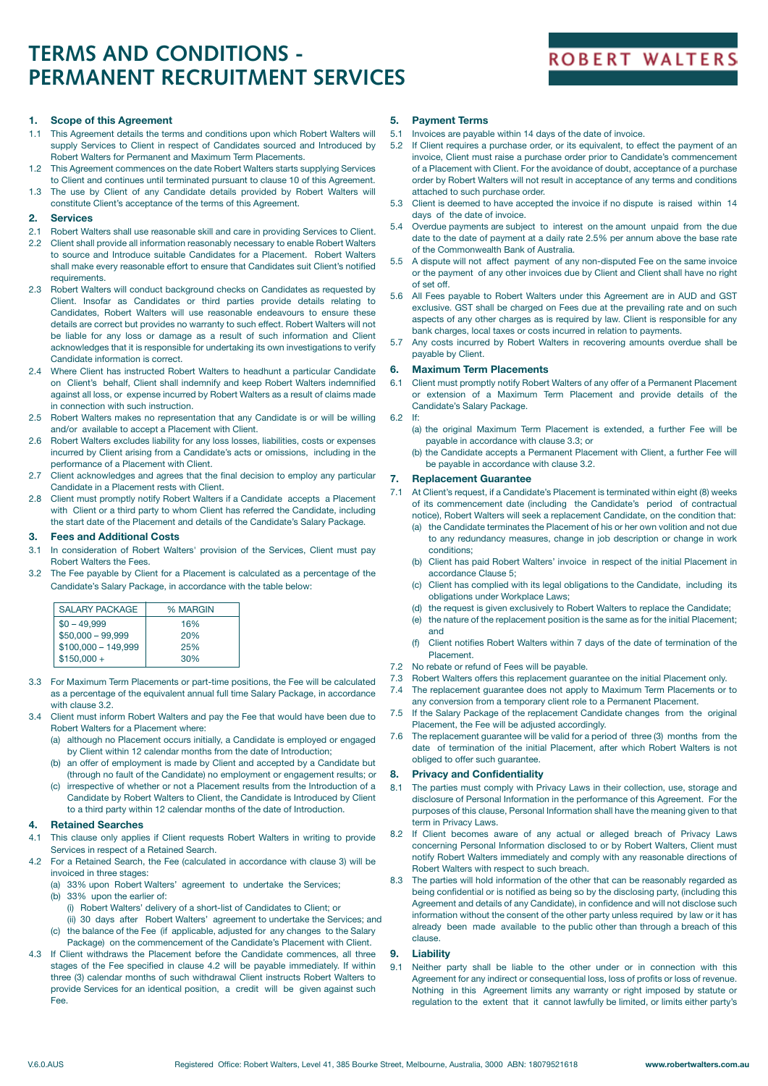# **TERMS AND CONDITIONS - PERMANENT RECRUITMENT SERVICES**

## **ROBERT WALTERS**

### **1. Scope of this Agreement**

- 1.1 This Agreement details the terms and conditions upon which Robert Walters will supply Services to Client in respect of Candidates sourced and Introduced by Robert Walters for Permanent and Maximum Term Placements.
- 1.2 This Agreement commences on the date Robert Walters starts supplying Services to Client and continues until terminated pursuant to clause 10 of this Agreement.
- 1.3 The use by Client of any Candidate details provided by Robert Walters will constitute Client's acceptance of the terms of this Agreement.

### **2. Services**

- 2.1 Robert Walters shall use reasonable skill and care in providing Services to Client.
- 2.2 Client shall provide all information reasonably necessary to enable Robert Walters to source and Introduce suitable Candidates for a Placement. Robert Walters shall make every reasonable effort to ensure that Candidates suit Client's notified requirements.
- 2.3 Robert Walters will conduct background checks on Candidates as requested by Client. Insofar as Candidates or third parties provide details relating to Candidates, Robert Walters will use reasonable endeavours to ensure these details are correct but provides no warranty to such effect. Robert Walters will not be liable for any loss or damage as a result of such information and Client acknowledges that it is responsible for undertaking its own investigations to verify Candidate information is correct.
- 2.4 Where Client has instructed Robert Walters to headhunt a particular Candidate on Client's behalf, Client shall indemnify and keep Robert Walters indemnified against all loss, or expense incurred by Robert Walters as a result of claims made in connection with such instruction.
- 2.5 Robert Walters makes no representation that any Candidate is or will be willing and/or available to accept a Placement with Client.
- 2.6 Robert Walters excludes liability for any loss losses, liabilities, costs or expenses incurred by Client arising from a Candidate's acts or omissions, including in the performance of a Placement with Client.
- 2.7 Client acknowledges and agrees that the final decision to employ any particular Candidate in a Placement rests with Client.
- 2.8 Client must promptly notify Robert Walters if a Candidate accepts a Placement with Client or a third party to whom Client has referred the Candidate, including the start date of the Placement and details of the Candidate's Salary Package.

#### **3. Fees and Additional Costs**

- 3.1 In consideration of Robert Walters' provision of the Services, Client must pay Robert Walters the Fees.
- 3.2 The Fee payable by Client for a Placement is calculated as a percentage of the Candidate's Salary Package, in accordance with the table below:

| % MARGIN |
|----------|
| 16%      |
| 20%      |
| 25%      |
| 30%      |
|          |

- 3.3 For Maximum Term Placements or part-time positions, the Fee will be calculated as a percentage of the equivalent annual full time Salary Package, in accordance with clause 3.2.
- 3.4 Client must inform Robert Walters and pay the Fee that would have been due to Robert Walters for a Placement where:
	- (a) although no Placement occurs initially, a Candidate is employed or engaged by Client within 12 calendar months from the date of Introduction;
	- (b) an offer of employment is made by Client and accepted by a Candidate but (through no fault of the Candidate) no employment or engagement results; or
	- (c) irrespective of whether or not a Placement results from the Introduction of a Candidate by Robert Walters to Client, the Candidate is Introduced by Client to a third party within 12 calendar months of the date of Introduction.

### **4. Retained Searches**

- 4.1 This clause only applies if Client requests Robert Walters in writing to provide Services in respect of a Retained Search.
- 4.2 For a Retained Search, the Fee (calculated in accordance with clause 3) will be invoiced in three stages:
	- (a) 33% upon Robert Walters' agreement to undertake the Services;
	- (b) 33% upon the earlier of:
		- (i) Robert Walters' delivery of a short-list of Candidates to Client; or
	- (ii) 30 days after Robert Walters' agreement to undertake the Services; and (c) the balance of the Fee (if applicable, adjusted for any changes to the Salary
- Package) on the commencement of the Candidate's Placement with Client. 4.3 If Client withdraws the Placement before the Candidate commences, all three
- stages of the Fee specified in clause 4.2 will be payable immediately. If within three (3) calendar months of such withdrawal Client instructs Robert Walters to provide Services for an identical position, a credit will be given against such Fee.

### **5. Payment Terms**

- 5.1 Invoices are payable within 14 days of the date of invoice.
- 5.2 If Client requires a purchase order, or its equivalent, to effect the payment of an invoice, Client must raise a purchase order prior to Candidate's commencement of a Placement with Client. For the avoidance of doubt, acceptance of a purchase order by Robert Walters will not result in acceptance of any terms and conditions attached to such purchase order.
- 5.3 Client is deemed to have accepted the invoice if no dispute is raised within 14 days of the date of invoice.
- 5.4 Overdue payments are subject to interest on the amount unpaid from the due date to the date of payment at a daily rate 2.5% per annum above the base rate of the Commonwealth Bank of Australia.
- 5.5 A dispute will not affect payment of any non-disputed Fee on the same invoice or the payment of any other invoices due by Client and Client shall have no right of set off.
- 5.6 All Fees payable to Robert Walters under this Agreement are in AUD and GST exclusive. GST shall be charged on Fees due at the prevailing rate and on such aspects of any other charges as is required by law. Client is responsible for any bank charges, local taxes or costs incurred in relation to payments.
- 5.7 Any costs incurred by Robert Walters in recovering amounts overdue shall be payable by Client.

### **6. Maximum Term Placements**

- 6.1 Client must promptly notify Robert Walters of any offer of a Permanent Placement or extension of a Maximum Term Placement and provide details of the Candidate's Salary Package.
- 6.2 If:
	- (a) the original Maximum Term Placement is extended, a further Fee will be payable in accordance with clause 3.3; or
	- (b) the Candidate accepts a Permanent Placement with Client, a further Fee will be payable in accordance with clause 3.2.

### **7. Replacement Guarantee**

- 7.1 At Client's request, if a Candidate's Placement is terminated within eight (8) weeks of its commencement date (including the Candidate's period of contractual notice), Robert Walters will seek a replacement Candidate, on the condition that:
	- (a) the Candidate terminates the Placement of his or her own volition and not due to any redundancy measures, change in job description or change in work conditions;
	- (b) Client has paid Robert Walters' invoice in respect of the initial Placement in accordance Clause 5;
	- (c) Client has complied with its legal obligations to the Candidate, including its obligations under Workplace Laws;
	- (d) the request is given exclusively to Robert Walters to replace the Candidate;
	- (e) the nature of the replacement position is the same as for the initial Placement; and
	- (f) Client notifies Robert Walters within 7 days of the date of termination of the Placement.
- 7.2 No rebate or refund of Fees will be payable.
- 7.3 Robert Walters offers this replacement guarantee on the initial Placement only.
- 7.4 The replacement guarantee does not apply to Maximum Term Placements or to
- any conversion from a temporary client role to a Permanent Placement. 7.5 If the Salary Package of the replacement Candidate changes from the original Placement, the Fee will be adjusted accordingly.
- 7.6 The replacement guarantee will be valid for a period of three (3) months from the date of termination of the initial Placement, after which Robert Walters is not obliged to offer such guarantee.

### **8. Privacy and Confidentiality**

- 8.1 The parties must comply with Privacy Laws in their collection, use, storage and disclosure of Personal Information in the performance of this Agreement. For the purposes of this clause, Personal Information shall have the meaning given to that term in Privacy Laws.
- 8.2 If Client becomes aware of any actual or alleged breach of Privacy Laws concerning Personal Information disclosed to or by Robert Walters, Client must notify Robert Walters immediately and comply with any reasonable directions of Robert Walters with respect to such breach.
- 8.3 The parties will hold information of the other that can be reasonably regarded as being confidential or is notified as being so by the disclosing party, (including this Agreement and details of any Candidate), in confidence and will not disclose such information without the consent of the other party unless required by law or it has already been made available to the public other than through a breach of this clause.

## **9. Liability**

9.1 Neither party shall be liable to the other under or in connection with this Agreement for any indirect or consequential loss, loss of profits or loss of revenue. Nothing in this Agreement limits any warranty or right imposed by statute or regulation to the extent that it cannot lawfully be limited, or limits either party's